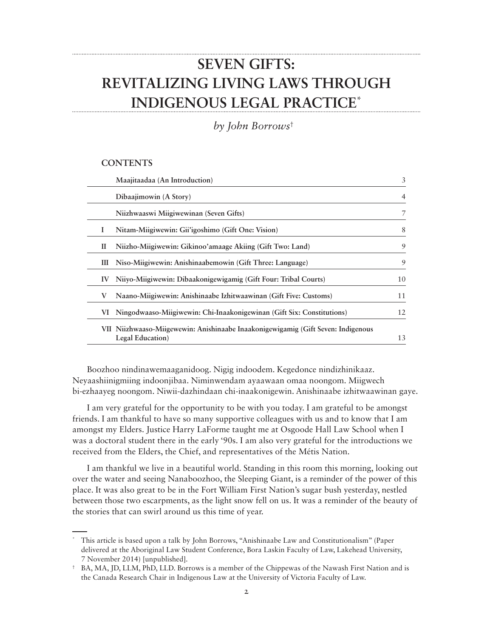# **SEVEN GIFTS: REVITALIZING LIVING LAWS THROUGH INDIGENOUS LEGAL PRACTICE\***

*by John Borrows*†

#### **CONTENTS**

|    | Maajitaadaa (An Introduction)                                                                        | 3              |
|----|------------------------------------------------------------------------------------------------------|----------------|
|    | Dibaajimowin (A Story)                                                                               | $\overline{4}$ |
|    | Niizhwaaswi Miigiwewinan (Seven Gifts)                                                               | 7              |
| 1  | Nitam-Miigiwewin: Gii'igoshimo (Gift One: Vision)                                                    | 8              |
| П  | Niizho-Miigiwewin: Gikinoo'amaage Akiing (Gift Two: Land)                                            | 9              |
| Ш  | Niso-Miigiwewin: Anishinaabemowin (Gift Three: Language)                                             | 9              |
| IV | Niiyo-Miigiwewin: Dibaakonigewigamig (Gift Four: Tribal Courts)                                      | 10             |
| V  | Naano-Miigiwewin: Anishinaabe Izhitwaawinan (Gift Five: Customs)                                     | 11             |
| VI | Ningodwaaso-Miigiwewin: Chi-Inaakonigewinan (Gift Six: Constitutions)                                | 12             |
|    | VII Niizhwaaso-Miigewewin: Anishinaabe Inaakonigewigamig (Gift Seven: Indigenous<br>Legal Education) | 13             |

Boozhoo nindinawemaaganidoog. Nigig indoodem. Kegedonce nindizhinikaaz. Neyaashiinigmiing indoonjibaa. Niminwendam ayaawaan omaa noongom. Miigwech bi-ezhaayeg noongom. Niwii-dazhindaan chi-inaakonigewin. Anishinaabe izhitwaawinan gaye.

I am very grateful for the opportunity to be with you today. I am grateful to be amongst friends. I am thankful to have so many supportive colleagues with us and to know that I am amongst my Elders. Justice Harry LaForme taught me at Osgoode Hall Law School when I was a doctoral student there in the early '90s. I am also very grateful for the introductions we received from the Elders, the Chief, and representatives of the Métis Nation.

I am thankful we live in a beautiful world. Standing in this room this morning, looking out over the water and seeing Nanaboozhoo, the Sleeping Giant, is a reminder of the power of this place. It was also great to be in the Fort William First Nation's sugar bush yesterday, nestled between those two escarpments, as the light snow fell on us. It was a reminder of the beauty of the stories that can swirl around us this time of year.

<sup>\*</sup> This article is based upon a talk by John Borrows, "Anishinaabe Law and Constitutionalism" (Paper delivered at the Aboriginal Law Student Conference, Bora Laskin Faculty of Law, Lakehead University, 7 November 2014) [unpublished].

<sup>†</sup> BA, MA, JD, LLM, PhD, LLD. Borrows is a member of the Chippewas of the Nawash First Nation and is the Canada Research Chair in Indigenous Law at the University of Victoria Faculty of Law.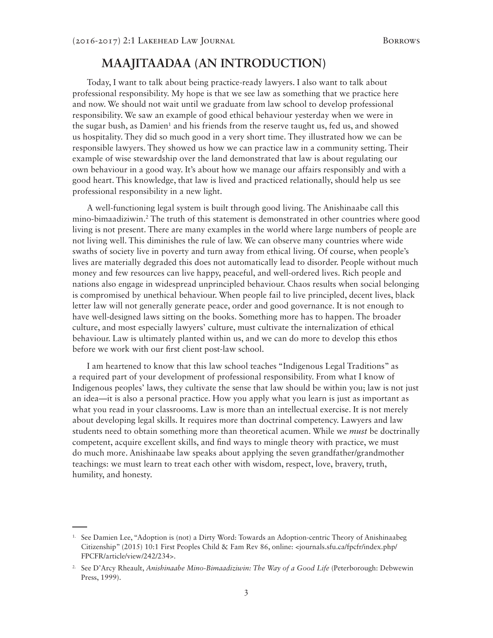### **MAAJITAADAA (AN INTRODUCTION)**

Today, I want to talk about being practice-ready lawyers. I also want to talk about professional responsibility. My hope is that we see law as something that we practice here and now. We should not wait until we graduate from law school to develop professional responsibility. We saw an example of good ethical behaviour yesterday when we were in the sugar bush, as Damien<sup>1</sup> and his friends from the reserve taught us, fed us, and showed us hospitality. They did so much good in a very short time. They illustrated how we can be responsible lawyers. They showed us how we can practice law in a community setting. Their example of wise stewardship over the land demonstrated that law is about regulating our own behaviour in a good way. It's about how we manage our affairs responsibly and with a good heart. This knowledge, that law is lived and practiced relationally, should help us see professional responsibility in a new light.

A well-functioning legal system is built through good living. The Anishinaabe call this mino-bimaadiziwin.2 The truth of this statement is demonstrated in other countries where good living is not present. There are many examples in the world where large numbers of people are not living well. This diminishes the rule of law. We can observe many countries where wide swaths of society live in poverty and turn away from ethical living. Of course, when people's lives are materially degraded this does not automatically lead to disorder. People without much money and few resources can live happy, peaceful, and well-ordered lives. Rich people and nations also engage in widespread unprincipled behaviour. Chaos results when social belonging is compromised by unethical behaviour. When people fail to live principled, decent lives, black letter law will not generally generate peace, order and good governance. It is not enough to have well-designed laws sitting on the books. Something more has to happen. The broader culture, and most especially lawyers' culture, must cultivate the internalization of ethical behaviour. Law is ultimately planted within us, and we can do more to develop this ethos before we work with our first client post-law school.

I am heartened to know that this law school teaches "Indigenous Legal Traditions" as a required part of your development of professional responsibility. From what I know of Indigenous peoples' laws, they cultivate the sense that law should be within you; law is not just an idea—it is also a personal practice. How you apply what you learn is just as important as what you read in your classrooms. Law is more than an intellectual exercise. It is not merely about developing legal skills. It requires more than doctrinal competency. Lawyers and law students need to obtain something more than theoretical acumen. While we *must* be doctrinally competent, acquire excellent skills, and find ways to mingle theory with practice, we must do much more. Anishinaabe law speaks about applying the seven grandfather/grandmother teachings: we must learn to treat each other with wisdom, respect, love, bravery, truth, humility, and honesty.

<sup>1.</sup> See Damien Lee, "Adoption is (not) a Dirty Word: Towards an Adoption-centric Theory of Anishinaabeg Citizenship" (2015) 10:1 First Peoples Child & Fam Rev 86, online: <journals.sfu.ca/fpcfr/index.php/ FPCFR/article/view/242/234>.

<sup>&</sup>lt;sup>2.</sup> See D'Arcy Rheault, *Anishinaabe Mino-Bimaadiziwin: The Way of a Good Life (Peterborough: Debwewin*) Press, 1999).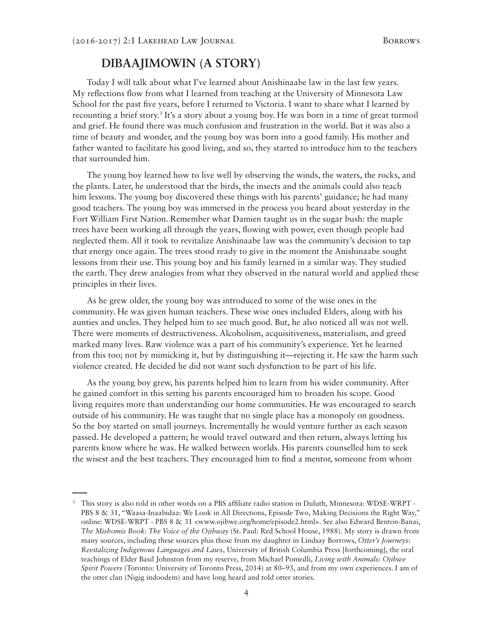### **DIBAAJIMOWIN (A STORY)**

Today I will talk about what I've learned about Anishinaabe law in the last few years. My reflections flow from what I learned from teaching at the University of Minnesota Law School for the past five years, before I returned to Victoria. I want to share what I learned by recounting a brief story.<sup>3</sup> It's a story about a young boy. He was born in a time of great turmoil and grief. He found there was much confusion and frustration in the world. But it was also a time of beauty and wonder, and the young boy was born into a good family. His mother and father wanted to facilitate his good living, and so, they started to introduce him to the teachers that surrounded him.

The young boy learned how to live well by observing the winds, the waters, the rocks, and the plants. Later, he understood that the birds, the insects and the animals could also teach him lessons. The young boy discovered these things with his parents' guidance; he had many good teachers. The young boy was immersed in the process you heard about yesterday in the Fort William First Nation. Remember what Damien taught us in the sugar bush: the maple trees have been working all through the years, flowing with power, even though people had neglected them. All it took to revitalize Anishinaabe law was the community's decision to tap that energy once again. The trees stood ready to give in the moment the Anishinaabe sought lessons from their use. This young boy and his family learned in a similar way. They studied the earth. They drew analogies from what they observed in the natural world and applied these principles in their lives.

As he grew older, the young boy was introduced to some of the wise ones in the community. He was given human teachers. These wise ones included Elders, along with his aunties and uncles. They helped him to see much good. But, he also noticed all was not well. There were moments of destructiveness. Alcoholism, acquisitiveness, materialism, and greed marked many lives. Raw violence was a part of his community's experience. Yet he learned from this too; not by mimicking it, but by distinguishing it—rejecting it. He saw the harm such violence created. He decided he did not want such dysfunction to be part of his life.

As the young boy grew, his parents helped him to learn from his wider community. After he gained comfort in this setting his parents encouraged him to broaden his scope. Good living requires more than understanding our home communities. He was encouraged to search outside of his community. He was taught that no single place has a monopoly on goodness. So the boy started on small journeys. Incrementally he would venture further as each season passed. He developed a pattern; he would travel outward and then return, always letting his parents know where he was. He walked between worlds. His parents counselled him to seek the wisest and the best teachers. They encouraged him to find a mentor, someone from whom

<sup>3.</sup> This story is also told in other words on a PBS affiliate radio station in Duluth, Minnesota: WDSE-WRPT - PBS 8 & 31, "Waasa-Inaabidaa: We Look in All Directions, Episode Two, Making Decisions the Right Way," online: WDSE-WRPT - PBS 8 & 31 <www.ojibwe.org/home/episode2.html>. See also Edward Benton-Banai, *The Mishomis Book: The Voice of the Ojibway* (St. Paul: Red School House, 1988). My story is drawn from many sources, including these sources plus those from my daughter in Lindsay Borrows, *Otter's Journeys: Revitalizing Indigenous Languages and Laws*, University of British Columbia Press [forthcoming], the oral teachings of Elder Basil Johnston from my reserve, from Michael Pomedli, *Living with Animals: Ojibwe Spirit Powers* (Toronto: University of Toronto Press, 2014) at 80–93, and from my own experiences. I am of the otter clan (Nigig indoodem) and have long heard and told otter stories.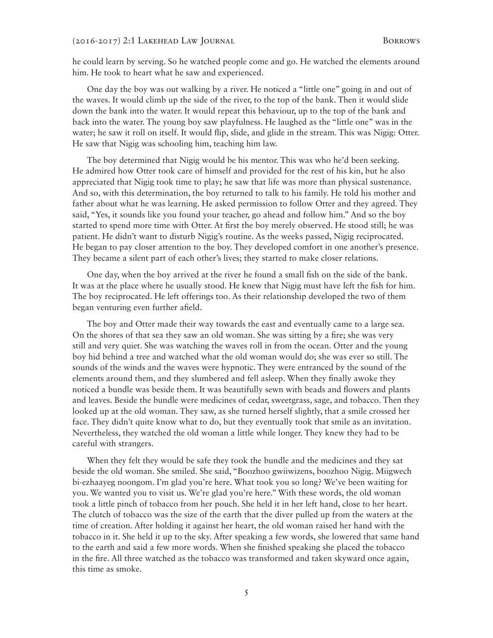he could learn by serving. So he watched people come and go. He watched the elements around him. He took to heart what he saw and experienced.

One day the boy was out walking by a river. He noticed a "little one" going in and out of the waves. It would climb up the side of the river, to the top of the bank. Then it would slide down the bank into the water. It would repeat this behaviour, up to the top of the bank and back into the water. The young boy saw playfulness. He laughed as the "little one" was in the water; he saw it roll on itself. It would flip, slide, and glide in the stream. This was Nigig: Otter. He saw that Nigig was schooling him, teaching him law.

The boy determined that Nigig would be his mentor. This was who he'd been seeking. He admired how Otter took care of himself and provided for the rest of his kin, but he also appreciated that Nigig took time to play; he saw that life was more than physical sustenance. And so, with this determination, the boy returned to talk to his family. He told his mother and father about what he was learning. He asked permission to follow Otter and they agreed. They said, "Yes, it sounds like you found your teacher, go ahead and follow him." And so the boy started to spend more time with Otter. At first the boy merely observed. He stood still; he was patient. He didn't want to disturb Nigig's routine. As the weeks passed, Nigig reciprocated. He began to pay closer attention to the boy. They developed comfort in one another's presence. They became a silent part of each other's lives; they started to make closer relations.

One day, when the boy arrived at the river he found a small fish on the side of the bank. It was at the place where he usually stood. He knew that Nigig must have left the fish for him. The boy reciprocated. He left offerings too. As their relationship developed the two of them began venturing even further afield.

The boy and Otter made their way towards the east and eventually came to a large sea. On the shores of that sea they saw an old woman. She was sitting by a fire; she was very still and very quiet. She was watching the waves roll in from the ocean. Otter and the young boy hid behind a tree and watched what the old woman would do; she was ever so still. The sounds of the winds and the waves were hypnotic. They were entranced by the sound of the elements around them, and they slumbered and fell asleep. When they finally awoke they noticed a bundle was beside them. It was beautifully sewn with beads and flowers and plants and leaves. Beside the bundle were medicines of cedar, sweetgrass, sage, and tobacco. Then they looked up at the old woman. They saw, as she turned herself slightly, that a smile crossed her face. They didn't quite know what to do, but they eventually took that smile as an invitation. Nevertheless, they watched the old woman a little while longer. They knew they had to be careful with strangers.

When they felt they would be safe they took the bundle and the medicines and they sat beside the old woman. She smiled. She said, "Boozhoo gwiiwizens, boozhoo Nigig. Miigwech bi-ezhaayeg noongom. I'm glad you're here. What took you so long? We've been waiting for you. We wanted you to visit us. We're glad you're here." With these words, the old woman took a little pinch of tobacco from her pouch. She held it in her left hand, close to her heart. The clutch of tobacco was the size of the earth that the diver pulled up from the waters at the time of creation. After holding it against her heart, the old woman raised her hand with the tobacco in it. She held it up to the sky. After speaking a few words, she lowered that same hand to the earth and said a few more words. When she finished speaking she placed the tobacco in the fire. All three watched as the tobacco was transformed and taken skyward once again, this time as smoke.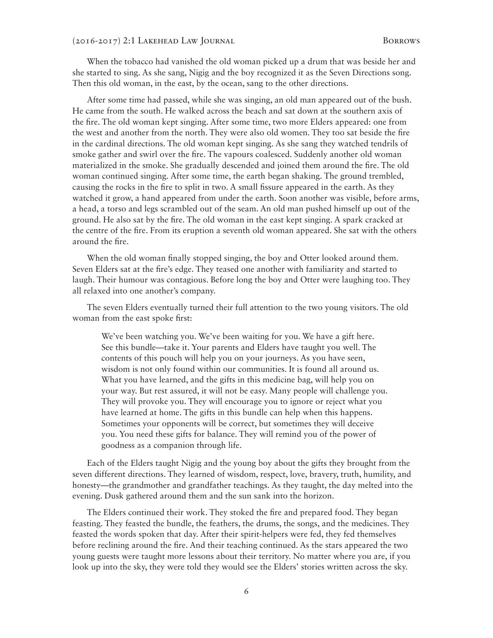When the tobacco had vanished the old woman picked up a drum that was beside her and she started to sing. As she sang, Nigig and the boy recognized it as the Seven Directions song. Then this old woman, in the east, by the ocean, sang to the other directions.

After some time had passed, while she was singing, an old man appeared out of the bush. He came from the south. He walked across the beach and sat down at the southern axis of the fire. The old woman kept singing. After some time, two more Elders appeared: one from the west and another from the north. They were also old women. They too sat beside the fire in the cardinal directions. The old woman kept singing. As she sang they watched tendrils of smoke gather and swirl over the fire. The vapours coalesced. Suddenly another old woman materialized in the smoke. She gradually descended and joined them around the fire. The old woman continued singing. After some time, the earth began shaking. The ground trembled, causing the rocks in the fire to split in two. A small fissure appeared in the earth. As they watched it grow, a hand appeared from under the earth. Soon another was visible, before arms, a head, a torso and legs scrambled out of the seam. An old man pushed himself up out of the ground. He also sat by the fire. The old woman in the east kept singing. A spark cracked at the centre of the fire. From its eruption a seventh old woman appeared. She sat with the others around the fire.

When the old woman finally stopped singing, the boy and Otter looked around them. Seven Elders sat at the fire's edge. They teased one another with familiarity and started to laugh. Their humour was contagious. Before long the boy and Otter were laughing too. They all relaxed into one another's company.

The seven Elders eventually turned their full attention to the two young visitors. The old woman from the east spoke first:

We've been watching you. We've been waiting for you. We have a gift here. See this bundle—take it. Your parents and Elders have taught you well. The contents of this pouch will help you on your journeys. As you have seen, wisdom is not only found within our communities. It is found all around us. What you have learned, and the gifts in this medicine bag, will help you on your way. But rest assured, it will not be easy. Many people will challenge you. They will provoke you. They will encourage you to ignore or reject what you have learned at home. The gifts in this bundle can help when this happens. Sometimes your opponents will be correct, but sometimes they will deceive you. You need these gifts for balance. They will remind you of the power of goodness as a companion through life.

Each of the Elders taught Nigig and the young boy about the gifts they brought from the seven different directions. They learned of wisdom, respect, love, bravery, truth, humility, and honesty—the grandmother and grandfather teachings. As they taught, the day melted into the evening. Dusk gathered around them and the sun sank into the horizon.

The Elders continued their work. They stoked the fire and prepared food. They began feasting. They feasted the bundle, the feathers, the drums, the songs, and the medicines. They feasted the words spoken that day. After their spirit-helpers were fed, they fed themselves before reclining around the fire. And their teaching continued. As the stars appeared the two young guests were taught more lessons about their territory. No matter where you are, if you look up into the sky, they were told they would see the Elders' stories written across the sky.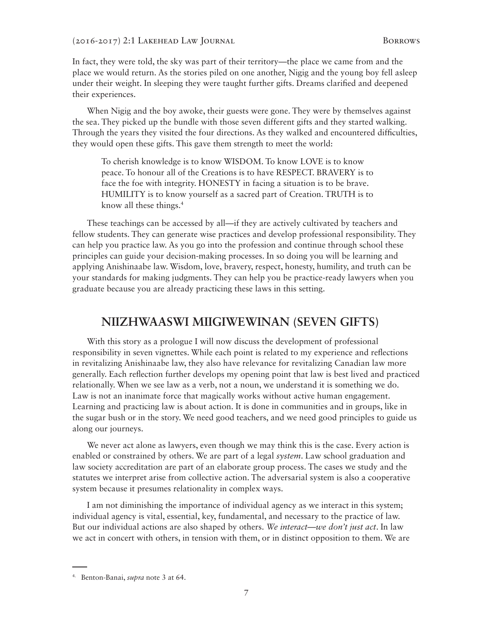In fact, they were told, the sky was part of their territory—the place we came from and the place we would return. As the stories piled on one another, Nigig and the young boy fell asleep under their weight. In sleeping they were taught further gifts. Dreams clarified and deepened their experiences.

When Nigig and the boy awoke, their guests were gone. They were by themselves against the sea. They picked up the bundle with those seven different gifts and they started walking. Through the years they visited the four directions. As they walked and encountered difficulties, they would open these gifts. This gave them strength to meet the world:

To cherish knowledge is to know WISDOM. To know LOVE is to know peace. To honour all of the Creations is to have RESPECT. BRAVERY is to face the foe with integrity. HONESTY in facing a situation is to be brave. HUMILITY is to know yourself as a sacred part of Creation. TRUTH is to know all these things.4

These teachings can be accessed by all—if they are actively cultivated by teachers and fellow students. They can generate wise practices and develop professional responsibility. They can help you practice law. As you go into the profession and continue through school these principles can guide your decision-making processes. In so doing you will be learning and applying Anishinaabe law. Wisdom, love, bravery, respect, honesty, humility, and truth can be your standards for making judgments. They can help you be practice-ready lawyers when you graduate because you are already practicing these laws in this setting.

#### **NIIZHWAASWI MIIGIWEWINAN (SEVEN GIFTS)**

With this story as a prologue I will now discuss the development of professional responsibility in seven vignettes. While each point is related to my experience and reflections in revitalizing Anishinaabe law, they also have relevance for revitalizing Canadian law more generally. Each reflection further develops my opening point that law is best lived and practiced relationally. When we see law as a verb, not a noun, we understand it is something we do. Law is not an inanimate force that magically works without active human engagement. Learning and practicing law is about action. It is done in communities and in groups, like in the sugar bush or in the story. We need good teachers, and we need good principles to guide us along our journeys.

We never act alone as lawyers, even though we may think this is the case. Every action is enabled or constrained by others. We are part of a legal *system*. Law school graduation and law society accreditation are part of an elaborate group process. The cases we study and the statutes we interpret arise from collective action. The adversarial system is also a cooperative system because it presumes relationality in complex ways.

I am not diminishing the importance of individual agency as we interact in this system; individual agency is vital, essential, key, fundamental, and necessary to the practice of law. But our individual actions are also shaped by others. *We interact—we don't just act*. In law we act in concert with others, in tension with them, or in distinct opposition to them. We are

<sup>4.</sup> Benton-Banai, *supra* note 3 at 64.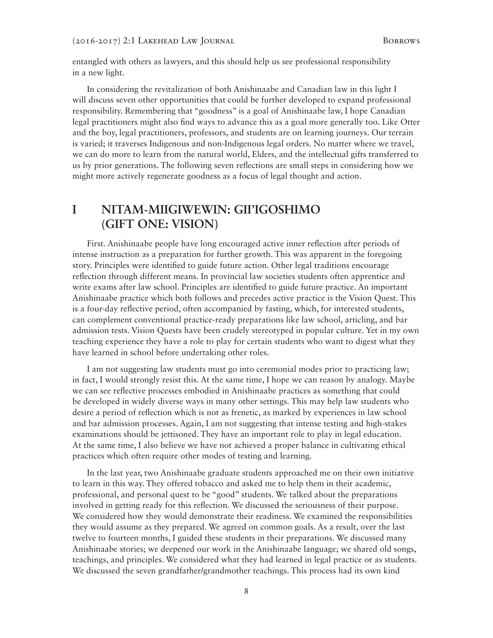entangled with others as lawyers, and this should help us see professional responsibility in a new light.

In considering the revitalization of both Anishinaabe and Canadian law in this light I will discuss seven other opportunities that could be further developed to expand professional responsibility. Remembering that "goodness" is a goal of Anishinaabe law, I hope Canadian legal practitioners might also find ways to advance this as a goal more generally too. Like Otter and the boy, legal practitioners, professors, and students are on learning journeys. Our terrain is varied; it traverses Indigenous and non-Indigenous legal orders. No matter where we travel, we can do more to learn from the natural world, Elders, and the intellectual gifts transferred to us by prior generations. The following seven reflections are small steps in considering how we might more actively regenerate goodness as a focus of legal thought and action.

### **I NITAM-MIIGIWEWIN: GII'IGOSHIMO (GIFT ONE: VISION)**

First. Anishinaabe people have long encouraged active inner reflection after periods of intense instruction as a preparation for further growth. This was apparent in the foregoing story. Principles were identified to guide future action. Other legal traditions encourage reflection through different means. In provincial law societies students often apprentice and write exams after law school. Principles are identified to guide future practice. An important Anishinaabe practice which both follows and precedes active practice is the Vision Quest. This is a four-day reflective period, often accompanied by fasting, which, for interested students, can complement conventional practice-ready preparations like law school, articling, and bar admission tests. Vision Quests have been crudely stereotyped in popular culture. Yet in my own teaching experience they have a role to play for certain students who want to digest what they have learned in school before undertaking other roles.

I am not suggesting law students must go into ceremonial modes prior to practicing law; in fact, I would strongly resist this. At the same time, I hope we can reason by analogy. Maybe we can see reflective processes embodied in Anishinaabe practices as something that could be developed in widely diverse ways in many other settings. This may help law students who desire a period of reflection which is not as frenetic, as marked by experiences in law school and bar admission processes. Again, I am not suggesting that intense testing and high-stakes examinations should be jettisoned. They have an important role to play in legal education. At the same time, I also believe we have not achieved a proper balance in cultivating ethical practices which often require other modes of testing and learning.

In the last year, two Anishinaabe graduate students approached me on their own initiative to learn in this way. They offered tobacco and asked me to help them in their academic, professional, and personal quest to be "good" students. We talked about the preparations involved in getting ready for this reflection. We discussed the seriousness of their purpose. We considered how they would demonstrate their readiness. We examined the responsibilities they would assume as they prepared. We agreed on common goals. As a result, over the last twelve to fourteen months, I guided these students in their preparations. We discussed many Anishinaabe stories; we deepened our work in the Anishinaabe language; we shared old songs, teachings, and principles. We considered what they had learned in legal practice or as students. We discussed the seven grandfather/grandmother teachings. This process had its own kind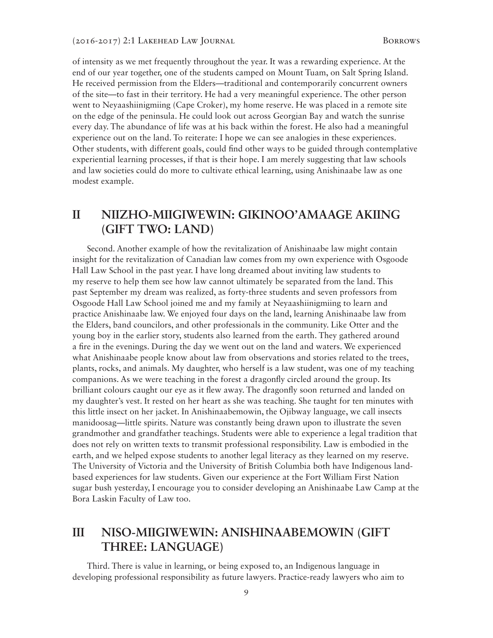of intensity as we met frequently throughout the year. It was a rewarding experience. At the end of our year together, one of the students camped on Mount Tuam, on Salt Spring Island. He received permission from the Elders—traditional and contemporarily concurrent owners of the site—to fast in their territory. He had a very meaningful experience. The other person went to Neyaashiinigmiing (Cape Croker), my home reserve. He was placed in a remote site on the edge of the peninsula. He could look out across Georgian Bay and watch the sunrise every day. The abundance of life was at his back within the forest. He also had a meaningful experience out on the land. To reiterate: I hope we can see analogies in these experiences. Other students, with different goals, could find other ways to be guided through contemplative experiential learning processes, if that is their hope. I am merely suggesting that law schools and law societies could do more to cultivate ethical learning, using Anishinaabe law as one modest example.

## **II NIIZHO-MIIGIWEWIN: GIKINOO'AMAAGE AKIING (GIFT TWO: LAND)**

Second. Another example of how the revitalization of Anishinaabe law might contain insight for the revitalization of Canadian law comes from my own experience with Osgoode Hall Law School in the past year. I have long dreamed about inviting law students to my reserve to help them see how law cannot ultimately be separated from the land. This past September my dream was realized, as forty-three students and seven professors from Osgoode Hall Law School joined me and my family at Neyaashiinigmiing to learn and practice Anishinaabe law. We enjoyed four days on the land, learning Anishinaabe law from the Elders, band councilors, and other professionals in the community. Like Otter and the young boy in the earlier story, students also learned from the earth. They gathered around a fire in the evenings. During the day we went out on the land and waters. We experienced what Anishinaabe people know about law from observations and stories related to the trees, plants, rocks, and animals. My daughter, who herself is a law student, was one of my teaching companions. As we were teaching in the forest a dragonfly circled around the group. Its brilliant colours caught our eye as it flew away. The dragonfly soon returned and landed on my daughter's vest. It rested on her heart as she was teaching. She taught for ten minutes with this little insect on her jacket. In Anishinaabemowin, the Ojibway language, we call insects manidoosag—little spirits. Nature was constantly being drawn upon to illustrate the seven grandmother and grandfather teachings. Students were able to experience a legal tradition that does not rely on written texts to transmit professional responsibility. Law is embodied in the earth, and we helped expose students to another legal literacy as they learned on my reserve. The University of Victoria and the University of British Columbia both have Indigenous landbased experiences for law students. Given our experience at the Fort William First Nation sugar bush yesterday, I encourage you to consider developing an Anishinaabe Law Camp at the Bora Laskin Faculty of Law too.

# **III NISO-MIIGIWEWIN: ANISHINAABEMOWIN (GIFT THREE: LANGUAGE)**

Third. There is value in learning, or being exposed to, an Indigenous language in developing professional responsibility as future lawyers. Practice-ready lawyers who aim to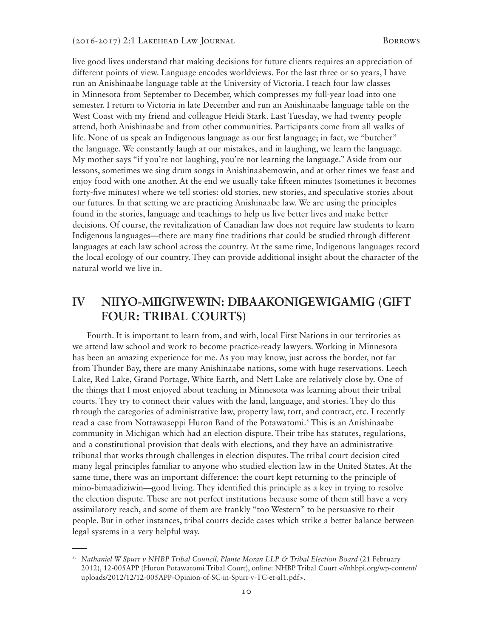live good lives understand that making decisions for future clients requires an appreciation of different points of view. Language encodes worldviews. For the last three or so years, I have run an Anishinaabe language table at the University of Victoria. I teach four law classes in Minnesota from September to December, which compresses my full-year load into one semester. I return to Victoria in late December and run an Anishinaabe language table on the West Coast with my friend and colleague Heidi Stark. Last Tuesday, we had twenty people attend, both Anishinaabe and from other communities. Participants come from all walks of life. None of us speak an Indigenous language as our first language; in fact, we "butcher" the language. We constantly laugh at our mistakes, and in laughing, we learn the language. My mother says "if you're not laughing, you're not learning the language." Aside from our lessons, sometimes we sing drum songs in Anishinaabemowin, and at other times we feast and enjoy food with one another. At the end we usually take fifteen minutes (sometimes it becomes forty-five minutes) where we tell stories: old stories, new stories, and speculative stories about our futures. In that setting we are practicing Anishinaabe law. We are using the principles found in the stories, language and teachings to help us live better lives and make better decisions. Of course, the revitalization of Canadian law does not require law students to learn Indigenous languages—there are many fine traditions that could be studied through different languages at each law school across the country. At the same time, Indigenous languages record the local ecology of our country. They can provide additional insight about the character of the natural world we live in.

# **IV NIIYO-MIIGIWEWIN: DIBAAKONIGEWIGAMIG (GIFT FOUR: TRIBAL COURTS)**

Fourth. It is important to learn from, and with, local First Nations in our territories as we attend law school and work to become practice-ready lawyers. Working in Minnesota has been an amazing experience for me. As you may know, just across the border, not far from Thunder Bay, there are many Anishinaabe nations, some with huge reservations. Leech Lake, Red Lake, Grand Portage, White Earth, and Nett Lake are relatively close by. One of the things that I most enjoyed about teaching in Minnesota was learning about their tribal courts. They try to connect their values with the land, language, and stories. They do this through the categories of administrative law, property law, tort, and contract, etc. I recently read a case from Nottawaseppi Huron Band of the Potawatomi.<sup>5</sup> This is an Anishinaabe community in Michigan which had an election dispute. Their tribe has statutes, regulations, and a constitutional provision that deals with elections, and they have an administrative tribunal that works through challenges in election disputes. The tribal court decision cited many legal principles familiar to anyone who studied election law in the United States. At the same time, there was an important difference: the court kept returning to the principle of mino-bimaadiziwin—good living. They identified this principle as a key in trying to resolve the election dispute. These are not perfect institutions because some of them still have a very assimilatory reach, and some of them are frankly "too Western" to be persuasive to their people. But in other instances, tribal courts decide cases which strike a better balance between legal systems in a very helpful way.

<sup>5.</sup> *Nathaniel W Spurr v NHBP Tribal Council, Plante Moran LLP & Tribal Election Board* (21 February 2012), 12-005APP (Huron Potawatomi Tribal Court), online: NHBP Tribal Court <//nhbpi.org/wp-content/ uploads/2012/12/12-005APP-Opinion-of-SC-in-Spurr-v-TC-et-al1.pdf>.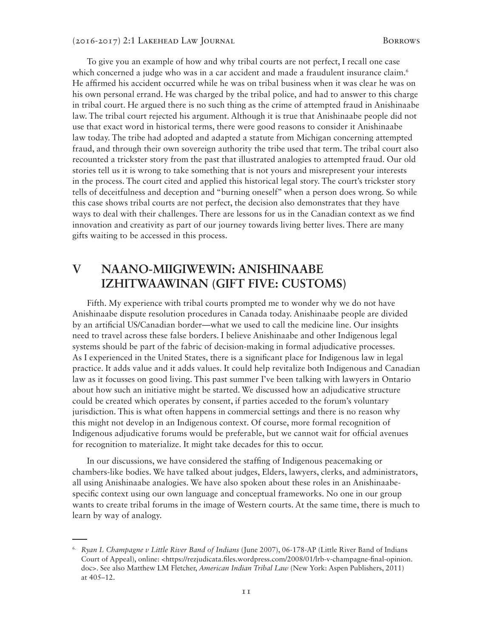To give you an example of how and why tribal courts are not perfect, I recall one case which concerned a judge who was in a car accident and made a fraudulent insurance claim.<sup>6</sup> He affirmed his accident occurred while he was on tribal business when it was clear he was on his own personal errand. He was charged by the tribal police, and had to answer to this charge in tribal court. He argued there is no such thing as the crime of attempted fraud in Anishinaabe law. The tribal court rejected his argument. Although it is true that Anishinaabe people did not use that exact word in historical terms, there were good reasons to consider it Anishinaabe law today. The tribe had adopted and adapted a statute from Michigan concerning attempted fraud, and through their own sovereign authority the tribe used that term. The tribal court also recounted a trickster story from the past that illustrated analogies to attempted fraud. Our old stories tell us it is wrong to take something that is not yours and misrepresent your interests in the process. The court cited and applied this historical legal story. The court's trickster story tells of deceitfulness and deception and "burning oneself" when a person does wrong. So while this case shows tribal courts are not perfect, the decision also demonstrates that they have ways to deal with their challenges. There are lessons for us in the Canadian context as we find innovation and creativity as part of our journey towards living better lives. There are many gifts waiting to be accessed in this process.

# **V NAANO-MIIGIWEWIN: ANISHINAABE IZHITWAAWINAN (GIFT FIVE: CUSTOMS)**

Fifth. My experience with tribal courts prompted me to wonder why we do not have Anishinaabe dispute resolution procedures in Canada today. Anishinaabe people are divided by an artificial US/Canadian border—what we used to call the medicine line. Our insights need to travel across these false borders. I believe Anishinaabe and other Indigenous legal systems should be part of the fabric of decision-making in formal adjudicative processes. As I experienced in the United States, there is a significant place for Indigenous law in legal practice. It adds value and it adds values. It could help revitalize both Indigenous and Canadian law as it focusses on good living. This past summer I've been talking with lawyers in Ontario about how such an initiative might be started. We discussed how an adjudicative structure could be created which operates by consent, if parties acceded to the forum's voluntary jurisdiction. This is what often happens in commercial settings and there is no reason why this might not develop in an Indigenous context. Of course, more formal recognition of Indigenous adjudicative forums would be preferable, but we cannot wait for official avenues for recognition to materialize. It might take decades for this to occur.

In our discussions, we have considered the staffing of Indigenous peacemaking or chambers-like bodies. We have talked about judges, Elders, lawyers, clerks, and administrators, all using Anishinaabe analogies. We have also spoken about these roles in an Anishinaabespecific context using our own language and conceptual frameworks. No one in our group wants to create tribal forums in the image of Western courts. At the same time, there is much to learn by way of analogy.

<sup>6.</sup> *Ryan L Champagne v Little River Band of Indians* (June 2007), 06-178-AP (Little River Band of Indians Court of Appeal), online: <https://rezjudicata.files.wordpress.com/2008/01/lrb-v-champagne-final-opinion. doc>. See also Matthew LM Fletcher, *American Indian Tribal Law* (New York: Aspen Publishers, 2011) at 405–12.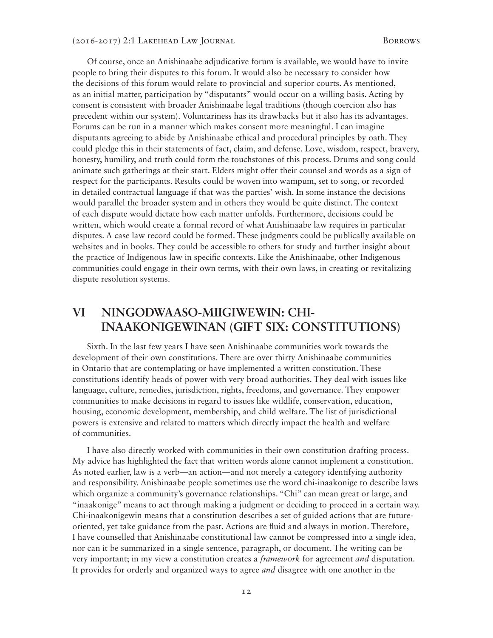Of course, once an Anishinaabe adjudicative forum is available, we would have to invite people to bring their disputes to this forum. It would also be necessary to consider how the decisions of this forum would relate to provincial and superior courts. As mentioned, as an initial matter, participation by "disputants" would occur on a willing basis. Acting by consent is consistent with broader Anishinaabe legal traditions (though coercion also has precedent within our system). Voluntariness has its drawbacks but it also has its advantages. Forums can be run in a manner which makes consent more meaningful. I can imagine disputants agreeing to abide by Anishinaabe ethical and procedural principles by oath. They could pledge this in their statements of fact, claim, and defense. Love, wisdom, respect, bravery, honesty, humility, and truth could form the touchstones of this process. Drums and song could animate such gatherings at their start. Elders might offer their counsel and words as a sign of respect for the participants. Results could be woven into wampum, set to song, or recorded in detailed contractual language if that was the parties' wish. In some instance the decisions would parallel the broader system and in others they would be quite distinct. The context of each dispute would dictate how each matter unfolds. Furthermore, decisions could be written, which would create a formal record of what Anishinaabe law requires in particular disputes. A case law record could be formed. These judgments could be publically available on websites and in books. They could be accessible to others for study and further insight about the practice of Indigenous law in specific contexts. Like the Anishinaabe, other Indigenous communities could engage in their own terms, with their own laws, in creating or revitalizing dispute resolution systems.

## **VI NINGODWAASO-MIIGIWEWIN: CHI-INAAKONIGEWINAN (GIFT SIX: CONSTITUTIONS)**

Sixth. In the last few years I have seen Anishinaabe communities work towards the development of their own constitutions. There are over thirty Anishinaabe communities in Ontario that are contemplating or have implemented a written constitution. These constitutions identify heads of power with very broad authorities. They deal with issues like language, culture, remedies, jurisdiction, rights, freedoms, and governance. They empower communities to make decisions in regard to issues like wildlife, conservation, education, housing, economic development, membership, and child welfare. The list of jurisdictional powers is extensive and related to matters which directly impact the health and welfare of communities.

I have also directly worked with communities in their own constitution drafting process. My advice has highlighted the fact that written words alone cannot implement a constitution. As noted earlier, law is a verb—an action—and not merely a category identifying authority and responsibility. Anishinaabe people sometimes use the word chi-inaakonige to describe laws which organize a community's governance relationships. "Chi" can mean great or large, and "inaakonige" means to act through making a judgment or deciding to proceed in a certain way. Chi-inaakonigewin means that a constitution describes a set of guided actions that are futureoriented, yet take guidance from the past. Actions are fluid and always in motion. Therefore, I have counselled that Anishinaabe constitutional law cannot be compressed into a single idea, nor can it be summarized in a single sentence, paragraph, or document. The writing can be very important; in my view a constitution creates a *framework* for agreement *and* disputation. It provides for orderly and organized ways to agree *and* disagree with one another in the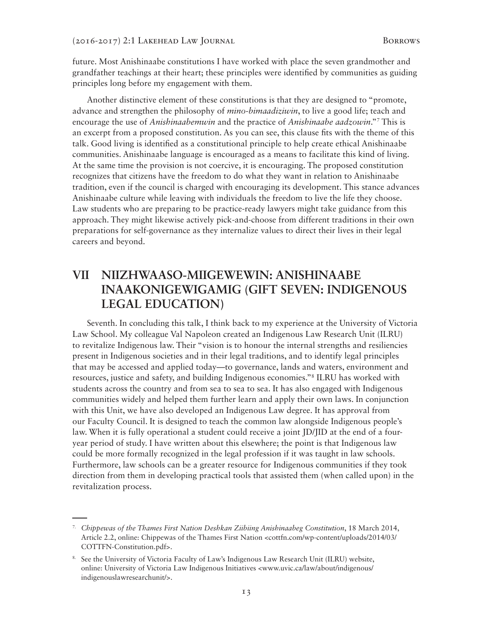future. Most Anishinaabe constitutions I have worked with place the seven grandmother and grandfather teachings at their heart; these principles were identified by communities as guiding principles long before my engagement with them.

Another distinctive element of these constitutions is that they are designed to "promote, advance and strengthen the philosophy of *mino-bimaadiziwin*, to live a good life; teach and encourage the use of *Anishinaabemwin* and the practice of *Anishinaabe aadzowin*."7 This is an excerpt from a proposed constitution. As you can see, this clause fits with the theme of this talk. Good living is identified as a constitutional principle to help create ethical Anishinaabe communities. Anishinaabe language is encouraged as a means to facilitate this kind of living. At the same time the provision is not coercive, it is encouraging. The proposed constitution recognizes that citizens have the freedom to do what they want in relation to Anishinaabe tradition, even if the council is charged with encouraging its development. This stance advances Anishinaabe culture while leaving with individuals the freedom to live the life they choose. Law students who are preparing to be practice-ready lawyers might take guidance from this approach. They might likewise actively pick-and-choose from different traditions in their own preparations for self-governance as they internalize values to direct their lives in their legal careers and beyond.

## **VII NIIZHWAASO-MIIGEWEWIN: ANISHINAABE INAAKONIGEWIGAMIG (GIFT SEVEN: INDIGENOUS LEGAL EDUCATION)**

Seventh. In concluding this talk, I think back to my experience at the University of Victoria Law School. My colleague Val Napoleon created an Indigenous Law Research Unit (ILRU) to revitalize Indigenous law. Their "vision is to honour the internal strengths and resiliencies present in Indigenous societies and in their legal traditions, and to identify legal principles that may be accessed and applied today—to governance, lands and waters, environment and resources, justice and safety, and building Indigenous economies."8 ILRU has worked with students across the country and from sea to sea to sea. It has also engaged with Indigenous communities widely and helped them further learn and apply their own laws. In conjunction with this Unit, we have also developed an Indigenous Law degree. It has approval from our Faculty Council. It is designed to teach the common law alongside Indigenous people's law. When it is fully operational a student could receive a joint JD/JID at the end of a fouryear period of study. I have written about this elsewhere; the point is that Indigenous law could be more formally recognized in the legal profession if it was taught in law schools. Furthermore, law schools can be a greater resource for Indigenous communities if they took direction from them in developing practical tools that assisted them (when called upon) in the revitalization process.

<sup>7.</sup> *Chippewas of the Thames First Nation Deshkan Ziibiing Anishinaabeg Constitution*, 18 March 2014, Article 2.2, online: Chippewas of the Thames First Nation <cottfn.com/wp-content/uploads/2014/03/ COTTFN-Constitution.pdf>.

<sup>8.</sup> See the University of Victoria Faculty of Law's Indigenous Law Research Unit (ILRU) website, online: University of Victoria Law Indigenous Initiatives <www.uvic.ca/law/about/indigenous/ indigenouslawresearchunit/>.